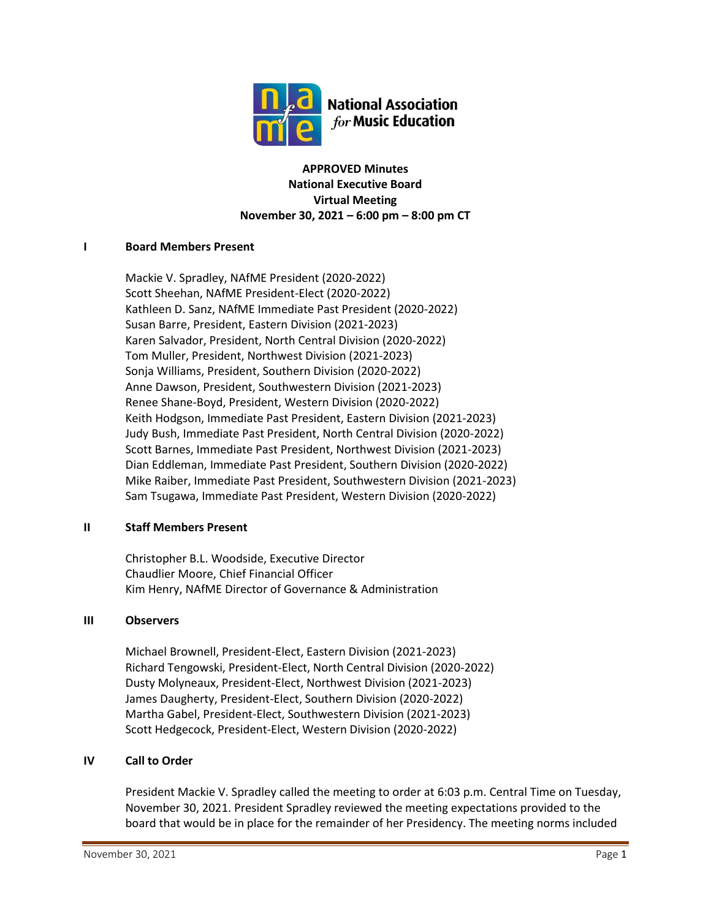

**APPROVED Minutes National Executive Board Virtual Meeting November 30, 2021 – 6:00 pm – 8:00 pm CT**

#### **I Board Members Present**

Mackie V. Spradley, NAfME President (2020-2022) Scott Sheehan, NAfME President-Elect (2020-2022) Kathleen D. Sanz, NAfME Immediate Past President (2020-2022) Susan Barre, President, Eastern Division (2021-2023) Karen Salvador, President, North Central Division (2020-2022) Tom Muller, President, Northwest Division (2021-2023) Sonja Williams, President, Southern Division (2020-2022) Anne Dawson, President, Southwestern Division (2021-2023) Renee Shane-Boyd, President, Western Division (2020-2022) Keith Hodgson, Immediate Past President, Eastern Division (2021-2023) Judy Bush, Immediate Past President, North Central Division (2020-2022) Scott Barnes, Immediate Past President, Northwest Division (2021-2023) Dian Eddleman, Immediate Past President, Southern Division (2020-2022) Mike Raiber, Immediate Past President, Southwestern Division (2021-2023) Sam Tsugawa, Immediate Past President, Western Division (2020-2022)

#### **II Staff Members Present**

Christopher B.L. Woodside, Executive Director Chaudlier Moore, Chief Financial Officer Kim Henry, NAfME Director of Governance & Administration

#### **III Observers**

Michael Brownell, President-Elect, Eastern Division (2021-2023) Richard Tengowski, President-Elect, North Central Division (2020-2022) Dusty Molyneaux, President-Elect, Northwest Division (2021-2023) James Daugherty, President-Elect, Southern Division (2020-2022) Martha Gabel, President-Elect, Southwestern Division (2021-2023) Scott Hedgecock, President-Elect, Western Division (2020-2022)

#### **IV Call to Order**

President Mackie V. Spradley called the meeting to order at 6:03 p.m. Central Time on Tuesday, November 30, 2021. President Spradley reviewed the meeting expectations provided to the board that would be in place for the remainder of her Presidency. The meeting norms included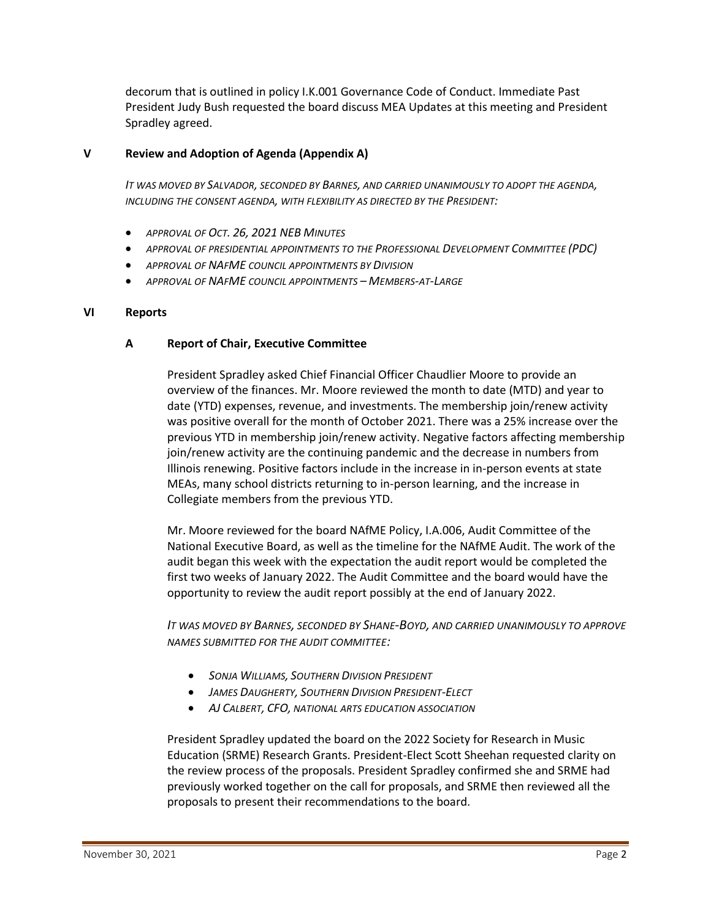decorum that is outlined in policy I.K.001 Governance Code of Conduct. Immediate Past President Judy Bush requested the board discuss MEA Updates at this meeting and President Spradley agreed.

### **V Review and Adoption of Agenda (Appendix A)**

*IT WAS MOVED BY SALVADOR, SECONDED BY BARNES, AND CARRIED UNANIMOUSLY TO ADOPT THE AGENDA, INCLUDING THE CONSENT AGENDA, WITH FLEXIBILITY AS DIRECTED BY THE PRESIDENT:*

- *APPROVAL OF OCT. 26, 2021 NEB MINUTES*
- *APPROVAL OF PRESIDENTIAL APPOINTMENTS TO THE PROFESSIONAL DEVELOPMENT COMMITTEE (PDC)*
- *APPROVAL OF NAFME COUNCIL APPOINTMENTS BY DIVISION*
- *APPROVAL OF NAFME COUNCIL APPOINTMENTS – MEMBERS-AT-LARGE*

#### **VI Reports**

#### **A Report of Chair, Executive Committee**

President Spradley asked Chief Financial Officer Chaudlier Moore to provide an overview of the finances. Mr. Moore reviewed the month to date (MTD) and year to date (YTD) expenses, revenue, and investments. The membership join/renew activity was positive overall for the month of October 2021. There was a 25% increase over the previous YTD in membership join/renew activity. Negative factors affecting membership join/renew activity are the continuing pandemic and the decrease in numbers from Illinois renewing. Positive factors include in the increase in in-person events at state MEAs, many school districts returning to in-person learning, and the increase in Collegiate members from the previous YTD.

Mr. Moore reviewed for the board NAfME Policy, I.A.006, Audit Committee of the National Executive Board, as well as the timeline for the NAfME Audit. The work of the audit began this week with the expectation the audit report would be completed the first two weeks of January 2022. The Audit Committee and the board would have the opportunity to review the audit report possibly at the end of January 2022.

*IT WAS MOVED BY BARNES, SECONDED BY SHANE-BOYD, AND CARRIED UNANIMOUSLY TO APPROVE NAMES SUBMITTED FOR THE AUDIT COMMITTEE:*

- *SONJA WILLIAMS, SOUTHERN DIVISION PRESIDENT*
- *JAMES DAUGHERTY, SOUTHERN DIVISION PRESIDENT-ELECT*
- *AJ CALBERT, CFO, NATIONAL ARTS EDUCATION ASSOCIATION*

President Spradley updated the board on the 2022 Society for Research in Music Education (SRME) Research Grants. President-Elect Scott Sheehan requested clarity on the review process of the proposals. President Spradley confirmed she and SRME had previously worked together on the call for proposals, and SRME then reviewed all the proposals to present their recommendations to the board.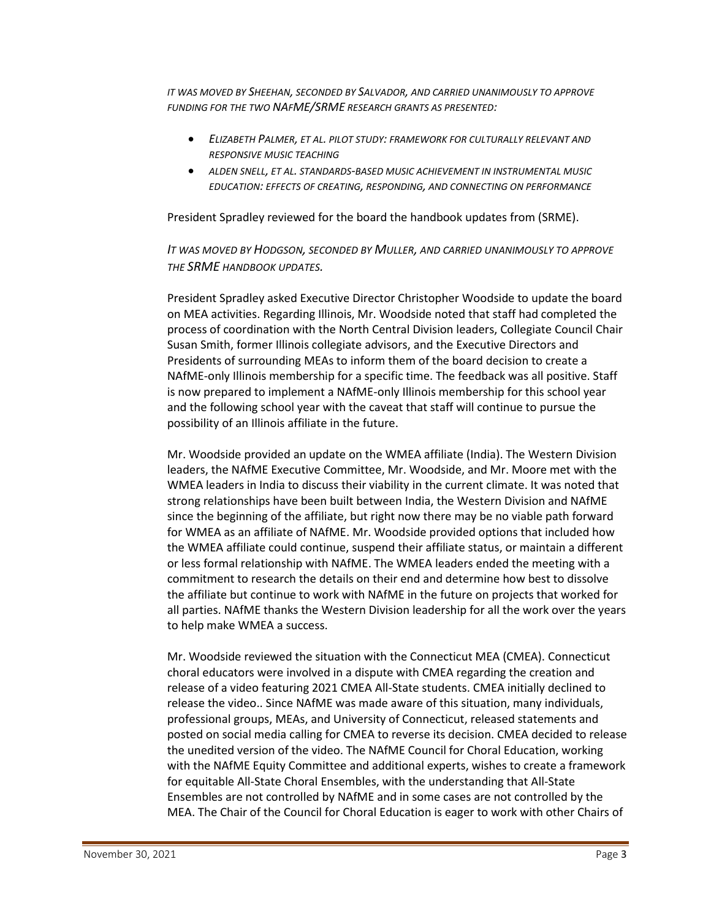*IT WAS MOVED BY SHEEHAN, SECONDED BY SALVADOR, AND CARRIED UNANIMOUSLY TO APPROVE FUNDING FOR THE TWO NAFME/SRME RESEARCH GRANTS AS PRESENTED:*

- *ELIZABETH PALMER, ET AL. PILOT STUDY: FRAMEWORK FOR CULTURALLY RELEVANT AND RESPONSIVE MUSIC TEACHING*
- *ALDEN SNELL, ET AL. STANDARDS-BASED MUSIC ACHIEVEMENT IN INSTRUMENTAL MUSIC EDUCATION: EFFECTS OF CREATING, RESPONDING, AND CONNECTING ON PERFORMANCE*

President Spradley reviewed for the board the handbook updates from (SRME).

*IT WAS MOVED BY HODGSON, SECONDED BY MULLER, AND CARRIED UNANIMOUSLY TO APPROVE THE SRME HANDBOOK UPDATES.* 

President Spradley asked Executive Director Christopher Woodside to update the board on MEA activities. Regarding Illinois, Mr. Woodside noted that staff had completed the process of coordination with the North Central Division leaders, Collegiate Council Chair Susan Smith, former Illinois collegiate advisors, and the Executive Directors and Presidents of surrounding MEAs to inform them of the board decision to create a NAfME-only Illinois membership for a specific time. The feedback was all positive. Staff is now prepared to implement a NAfME-only Illinois membership for this school year and the following school year with the caveat that staff will continue to pursue the possibility of an Illinois affiliate in the future.

Mr. Woodside provided an update on the WMEA affiliate (India). The Western Division leaders, the NAfME Executive Committee, Mr. Woodside, and Mr. Moore met with the WMEA leaders in India to discuss their viability in the current climate. It was noted that strong relationships have been built between India, the Western Division and NAfME since the beginning of the affiliate, but right now there may be no viable path forward for WMEA as an affiliate of NAfME. Mr. Woodside provided options that included how the WMEA affiliate could continue, suspend their affiliate status, or maintain a different or less formal relationship with NAfME. The WMEA leaders ended the meeting with a commitment to research the details on their end and determine how best to dissolve the affiliate but continue to work with NAfME in the future on projects that worked for all parties. NAfME thanks the Western Division leadership for all the work over the years to help make WMEA a success.

Mr. Woodside reviewed the situation with the Connecticut MEA (CMEA). Connecticut choral educators were involved in a dispute with CMEA regarding the creation and release of a video featuring 2021 CMEA All-State students. CMEA initially declined to release the video.. Since NAfME was made aware of this situation, many individuals, professional groups, MEAs, and University of Connecticut, released statements and posted on social media calling for CMEA to reverse its decision. CMEA decided to release the unedited version of the video. The NAfME Council for Choral Education, working with the NAfME Equity Committee and additional experts, wishes to create a framework for equitable All-State Choral Ensembles, with the understanding that All-State Ensembles are not controlled by NAfME and in some cases are not controlled by the MEA. The Chair of the Council for Choral Education is eager to work with other Chairs of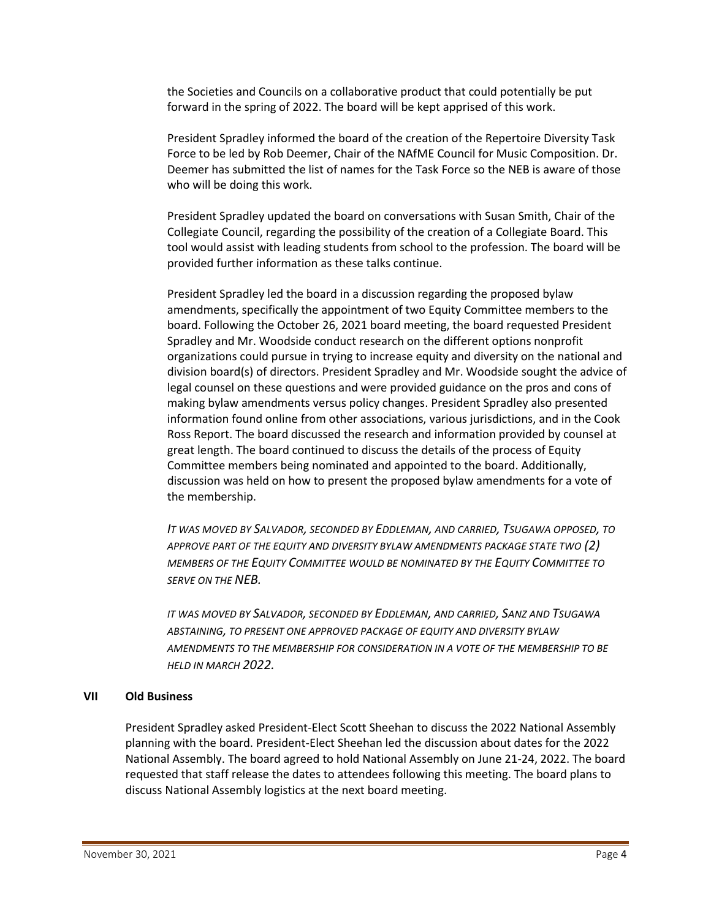the Societies and Councils on a collaborative product that could potentially be put forward in the spring of 2022. The board will be kept apprised of this work.

President Spradley informed the board of the creation of the Repertoire Diversity Task Force to be led by Rob Deemer, Chair of the NAfME Council for Music Composition. Dr. Deemer has submitted the list of names for the Task Force so the NEB is aware of those who will be doing this work.

President Spradley updated the board on conversations with Susan Smith, Chair of the Collegiate Council, regarding the possibility of the creation of a Collegiate Board. This tool would assist with leading students from school to the profession. The board will be provided further information as these talks continue.

President Spradley led the board in a discussion regarding the proposed bylaw amendments, specifically the appointment of two Equity Committee members to the board. Following the October 26, 2021 board meeting, the board requested President Spradley and Mr. Woodside conduct research on the different options nonprofit organizations could pursue in trying to increase equity and diversity on the national and division board(s) of directors. President Spradley and Mr. Woodside sought the advice of legal counsel on these questions and were provided guidance on the pros and cons of making bylaw amendments versus policy changes. President Spradley also presented information found online from other associations, various jurisdictions, and in the Cook Ross Report. The board discussed the research and information provided by counsel at great length. The board continued to discuss the details of the process of Equity Committee members being nominated and appointed to the board. Additionally, discussion was held on how to present the proposed bylaw amendments for a vote of the membership.

*IT WAS MOVED BY SALVADOR, SECONDED BY EDDLEMAN, AND CARRIED, TSUGAWA OPPOSED, TO APPROVE PART OF THE EQUITY AND DIVERSITY BYLAW AMENDMENTS PACKAGE STATE TWO (2) MEMBERS OF THE EQUITY COMMITTEE WOULD BE NOMINATED BY THE EQUITY COMMITTEE TO SERVE ON THE NEB.*

*IT WAS MOVED BY SALVADOR, SECONDED BY EDDLEMAN, AND CARRIED, SANZ AND TSUGAWA ABSTAINING, TO PRESENT ONE APPROVED PACKAGE OF EQUITY AND DIVERSITY BYLAW AMENDMENTS TO THE MEMBERSHIP FOR CONSIDERATION IN A VOTE OF THE MEMBERSHIP TO BE HELD IN MARCH 2022.*

#### **VII Old Business**

President Spradley asked President-Elect Scott Sheehan to discuss the 2022 National Assembly planning with the board. President-Elect Sheehan led the discussion about dates for the 2022 National Assembly. The board agreed to hold National Assembly on June 21-24, 2022. The board requested that staff release the dates to attendees following this meeting. The board plans to discuss National Assembly logistics at the next board meeting.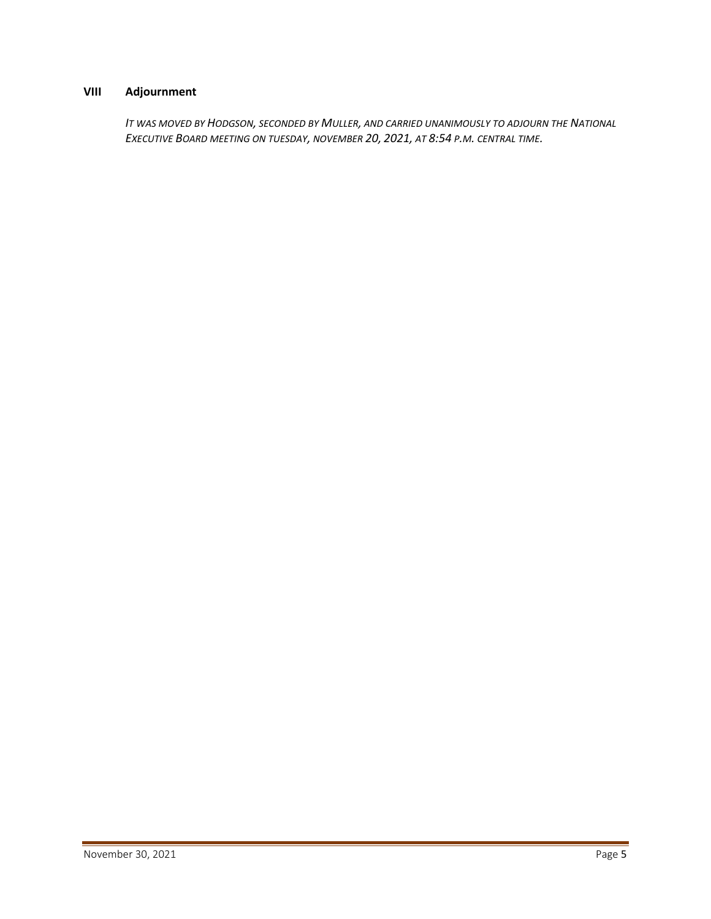## **VIII Adjournment**

*IT WAS MOVED BY HODGSON, SECONDED BY MULLER, AND CARRIED UNANIMOUSLY TO ADJOURN THE NATIONAL EXECUTIVE BOARD MEETING ON TUESDAY, NOVEMBER 20, 2021, AT 8:54 P.M. CENTRAL TIME.*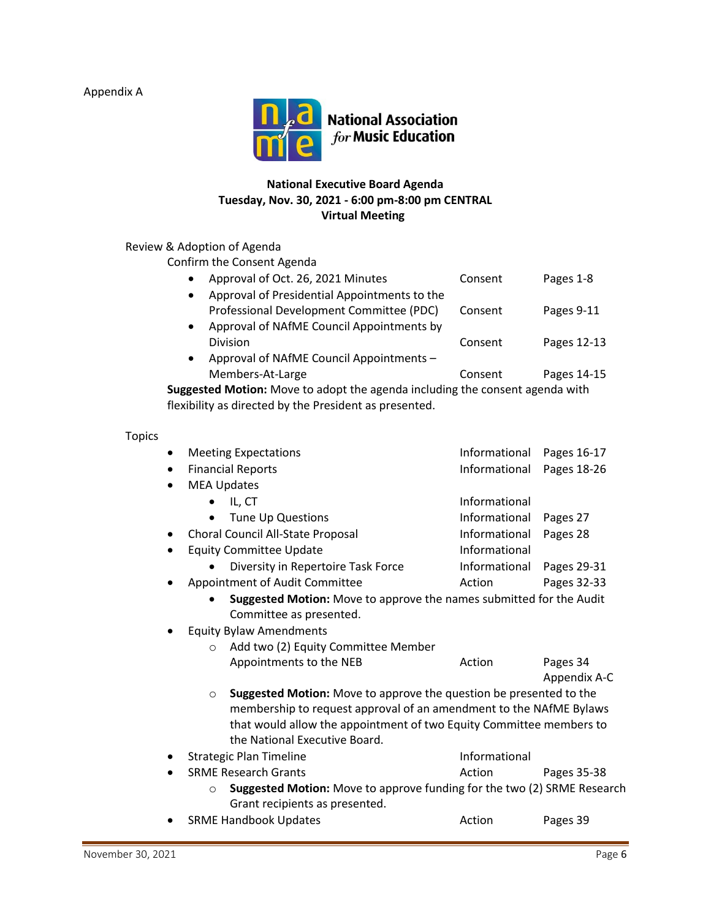Appendix A



## **National Executive Board Agenda Tuesday, Nov. 30, 2021 - 6:00 pm-8:00 pm CENTRAL Virtual Meeting**

# Review & Adoption of Agenda

Confirm the Consent Agenda

| $\bullet$                                                                  | Approval of Oct. 26, 2021 Minutes            | Consent | Pages 1-8   |  |
|----------------------------------------------------------------------------|----------------------------------------------|---------|-------------|--|
| $\bullet$                                                                  | Approval of Presidential Appointments to the |         |             |  |
|                                                                            | Professional Development Committee (PDC)     | Consent | Pages 9-11  |  |
|                                                                            | Approval of NAfME Council Appointments by    |         |             |  |
|                                                                            | Division                                     | Consent | Pages 12-13 |  |
|                                                                            | Approval of NAfME Council Appointments -     |         |             |  |
|                                                                            | Members-At-Large                             | Consent | Pages 14-15 |  |
| agested Motion: Move to adont the agenda including the consent agenda with |                                              |         |             |  |

**Suggested Motion:** Move to adopt the agenda including the consent agenda with flexibility as directed by the President as presented.

| <b>Meeting Expectations</b>                                                        |                                                                     | Informational | Pages 16-17  |  |  |
|------------------------------------------------------------------------------------|---------------------------------------------------------------------|---------------|--------------|--|--|
| <b>Financial Reports</b>                                                           |                                                                     | Informational | Pages 18-26  |  |  |
| <b>MEA Updates</b>                                                                 |                                                                     |               |              |  |  |
| $\bullet$                                                                          | IL, CT                                                              | Informational |              |  |  |
| $\bullet$                                                                          | Tune Up Questions                                                   | Informational | Pages 27     |  |  |
|                                                                                    | Choral Council All-State Proposal                                   | Informational | Pages 28     |  |  |
|                                                                                    | <b>Equity Committee Update</b>                                      | Informational |              |  |  |
|                                                                                    | Diversity in Repertoire Task Force                                  | Informational | Pages 29-31  |  |  |
|                                                                                    | Appointment of Audit Committee                                      | Action        | Pages 32-33  |  |  |
| Suggested Motion: Move to approve the names submitted for the Audit                |                                                                     |               |              |  |  |
|                                                                                    | Committee as presented.                                             |               |              |  |  |
| <b>Equity Bylaw Amendments</b>                                                     |                                                                     |               |              |  |  |
| Add two (2) Equity Committee Member<br>$\circ$                                     |                                                                     |               |              |  |  |
|                                                                                    | Appointments to the NEB                                             | Action        | Pages 34     |  |  |
|                                                                                    |                                                                     |               | Appendix A-C |  |  |
| Suggested Motion: Move to approve the question be presented to the<br>$\circ$      |                                                                     |               |              |  |  |
| membership to request approval of an amendment to the NAfME Bylaws                 |                                                                     |               |              |  |  |
|                                                                                    | that would allow the appointment of two Equity Committee members to |               |              |  |  |
|                                                                                    | the National Executive Board.                                       |               |              |  |  |
| <b>Strategic Plan Timeline</b>                                                     |                                                                     | Informational |              |  |  |
|                                                                                    | <b>SRME Research Grants</b>                                         | Action        | Pages 35-38  |  |  |
| Suggested Motion: Move to approve funding for the two (2) SRME Research<br>$\circ$ |                                                                     |               |              |  |  |
|                                                                                    | Grant recipients as presented.                                      |               |              |  |  |
|                                                                                    | <b>SRME Handbook Updates</b>                                        | Action        | Pages 39     |  |  |